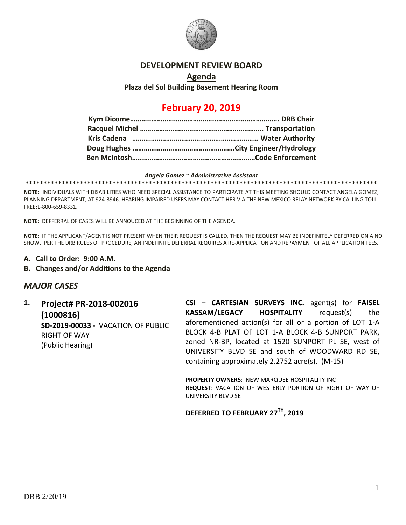

## **DEVELOPMENT REVIEW BOARD**

## **Agenda Plaza del Sol Building Basement Hearing Room**

# **February 20, 2019**

### *Angela Gomez ~ Administrative Assistant*

**\*\*\*\*\*\*\*\*\*\*\*\*\*\*\*\*\*\*\*\*\*\*\*\*\*\*\*\*\*\*\*\*\*\*\*\*\*\*\*\*\*\*\*\*\*\*\*\*\*\*\*\*\*\*\*\*\*\*\*\*\*\*\*\*\*\*\*\*\*\*\*\*\*\*\*\*\*\*\*\*\*\*\*\*\*\*\*\*\*\*\*\*\*\*\*\*\***

**NOTE:** INDIVIDUALS WITH DISABILITIES WHO NEED SPECIAL ASSISTANCE TO PARTICIPATE AT THIS MEETING SHOULD CONTACT ANGELA GOMEZ, PLANNING DEPARTMENT, AT 924-3946. HEARING IMPAIRED USERS MAY CONTACT HER VIA THE NEW MEXICO RELAY NETWORK BY CALLING TOLL-FREE:1-800-659-8331.

**NOTE:** DEFFERRAL OF CASES WILL BE ANNOUCED AT THE BEGINNING OF THE AGENDA.

**NOTE:** IF THE APPLICANT/AGENT IS NOT PRESENT WHEN THEIR REQUEST IS CALLED, THEN THE REQUEST MAY BE INDEFINITELY DEFERRED ON A NO SHOW. PER THE DRB RULES OF PROCEDURE, AN INDEFINITE DEFERRAL REQUIRES A RE-APPLICATION AND REPAYMENT OF ALL APPLICATION FEES.

- **A. Call to Order: 9:00 A.M.**
- **B. Changes and/or Additions to the Agenda**

## *MAJOR CASES*

**1. Project# PR-2018-002016 (1000816) SD-2019-00033 -** VACATION OF PUBLIC RIGHT OF WAY (Public Hearing)

**CSI – CARTESIAN SURVEYS INC.** agent(s) for **FAISEL KASSAM/LEGACY HOSPITALITY** request(s) the aforementioned action(s) for all or a portion of LOT 1-A BLOCK 4-B PLAT OF LOT 1-A BLOCK 4-B SUNPORT PARK**,**  zoned NR-BP, located at 1520 SUNPORT PL SE, west of UNIVERSITY BLVD SE and south of WOODWARD RD SE, containing approximately 2.2752 acre(s). (M-15)

**PROPERTY OWNERS**: NEW MARQUEE HOSPITALITY INC **REQUEST**: VACATION OF WESTERLY PORTION OF RIGHT OF WAY OF UNIVERSITY BLVD SE

## **DEFERRED TO FEBRUARY 27TH, 2019**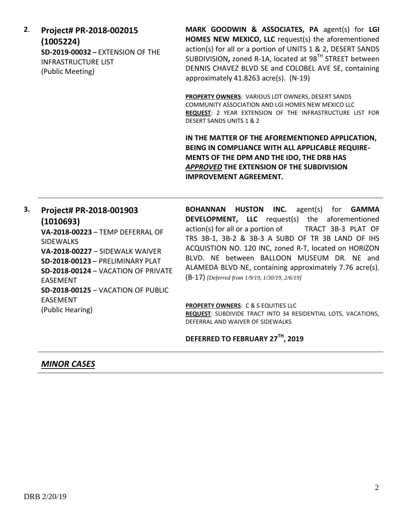**2**. **Project# PR-2018-002015 (1005224) SD-2019-00032 –** EXTENSION OF THE INFRASTRUCTURE LIST (Public Meeting)

**MARK GOODWIN & ASSOCIATES, PA** agent(s) for **LGI HOMES NEW MEXICO, LLC** request(s) the aforementioned action(s) for all or a portion of UNITS 1 & 2, DESERT SANDS SUBDIVISION**,** zoned R-1A, located at 98TH STREET between DENNIS CHAVEZ BLVD SE and COLOBEL AVE SE, containing approximately 41.8263 acre(s). (N-19)

**PROPERTY OWNERS**: VARIOUS LOT OWNERS, DESERT SANDS COMMUNITY ASSOCIATION AND LGI HOMES NEW MEXICO LLC **REQUEST**: 2 YEAR EXTENSION OF THE INFRASTRUCTURE LIST FOR DESERT SANDS UNITS 1 & 2

**IN THE MATTER OF THE AFOREMENTIONED APPLICATION, BEING IN COMPLIANCE WITH ALL APPLICABLE REQUIRE-MENTS OF THE DPM AND THE IDO, THE DRB HAS**  *APPROVED* **THE EXTENSION OF THE SUBDIVISION IMPROVEMENT AGREEMENT.**

**3. Project# PR-2018-001903 (1010693) VA-2018-00223** – TEMP DEFERRAL OF SIDEWALKS **VA-2018-00227** – SIDEWALK WAIVER **SD-2018-00123** – PRELIMINARY PLAT **SD-2018-00124** – VACATION OF PRIVATE EASEMENT **SD-2018-00125** – VACATION OF PUBLIC EASEMENT (Public Hearing)

**BOHANNAN HUSTON INC.** agent(s) for **GAMMA DEVELOPMENT, LLC** request(s) the aforementioned action(s) for all or a portion of TRACT 3B-3 PLAT OF TRS 3B-1, 3B-2 & 3B-3 A SUBD OF TR 3B LAND OF IHS ACQUISTION NO. 120 INC, zoned R-T, located on HORIZON BLVD. NE between BALLOON MUSEUM DR. NE and ALAMEDA BLVD NE, containing approximately 7.76 acre(s). (B-17) *[Deferred from 1/9/19, 1/30/19, 2/6/19]*

**PROPERTY OWNERS**: C & S EQUITIES LLC **REQUEST**: SUBDIVIDE TRACT INTO 34 RESIDENTIAL LOTS, VACATIONS, DEFERRAL AND WAIVER OF SIDEWALKS

**DEFERRED TO FEBRUARY 27TH, 2019**

*MINOR CASES*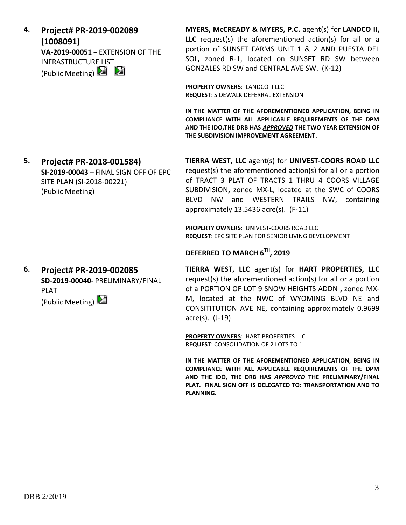| 4. | Project# PR-2019-002089<br>(1008091)<br>VA-2019-00051 - EXTENSION OF THE<br><b>INFRASTRUCTURE LIST</b><br>(Public Meeting) 2 2 | MYERS, McCREADY & MYERS, P.C. agent(s) for LANDCO II,<br>LLC request(s) the aforementioned action(s) for all or a<br>portion of SUNSET FARMS UNIT 1 & 2 AND PUESTA DEL<br>SOL, zoned R-1, located on SUNSET RD SW between<br>GONZALES RD SW and CENTRAL AVE SW. (K-12)                                                                        |
|----|--------------------------------------------------------------------------------------------------------------------------------|-----------------------------------------------------------------------------------------------------------------------------------------------------------------------------------------------------------------------------------------------------------------------------------------------------------------------------------------------|
|    |                                                                                                                                | <b>PROPERTY OWNERS: LANDCO II LLC</b><br><b>REQUEST: SIDEWALK DEFERRAL EXTENSION</b>                                                                                                                                                                                                                                                          |
|    |                                                                                                                                | IN THE MATTER OF THE AFOREMENTIONED APPLICATION, BEING IN<br>COMPLIANCE WITH ALL APPLICABLE REQUIREMENTS OF THE DPM<br>AND THE IDO, THE DRB HAS APPROVED THE TWO YEAR EXTENSION OF<br>THE SUBDIVISION IMPROVEMENT AGREEMENT.                                                                                                                  |
| 5. | Project# PR-2018-001584)<br>SI-2019-00043 - FINAL SIGN OFF OF EPC<br>SITE PLAN (SI-2018-00221)<br>(Public Meeting)             | TIERRA WEST, LLC agent(s) for UNIVEST-COORS ROAD LLC<br>request(s) the aforementioned action(s) for all or a portion<br>of TRACT 3 PLAT OF TRACTS 1 THRU 4 COORS VILLAGE<br>SUBDIVISION, zoned MX-L, located at the SWC of COORS<br><b>BLVD</b><br><b>NW</b><br>and WESTERN<br>TRAILS NW, containing<br>approximately 13.5436 acre(s). (F-11) |
|    |                                                                                                                                | PROPERTY OWNERS: UNIVEST-COORS ROAD LLC<br>REQUEST: EPC SITE PLAN FOR SENIOR LIVING DEVELOPMENT                                                                                                                                                                                                                                               |
|    |                                                                                                                                | DEFERRED TO MARCH 6TH, 2019                                                                                                                                                                                                                                                                                                                   |
| 6. | Project# PR-2019-002085<br>SD-2019-00040- PRELIMINARY/FINAL<br><b>PLAT</b><br>(Public Meeting) 2                               | TIERRA WEST, LLC agent(s) for HART PROPERTIES, LLC<br>request(s) the aforementioned action(s) for all or a portion<br>of a PORTION OF LOT 9 SNOW HEIGHTS ADDN, zoned MX-<br>M, located at the NWC of WYOMING BLVD NE and<br>CONSITITUTION AVE NE, containing approximately 0.9699<br>acre(s). (J-19)                                          |
|    |                                                                                                                                | <b>PROPERTY OWNERS: HART PROPERTIES LLC</b><br><b>REQUEST: CONSOLIDATION OF 2 LOTS TO 1</b>                                                                                                                                                                                                                                                   |
|    |                                                                                                                                | IN THE MATTER OF THE AFOREMENTIONED APPLICATION, BEING IN<br>COMPLIANCE WITH ALL APPLICABLE REQUIREMENTS OF THE DPM<br>AND THE IDO, THE DRB HAS APPROVED THE PRELIMINARY/FINAL<br>PLAT. FINAL SIGN OFF IS DELEGATED TO: TRANSPORTATION AND TO<br>PLANNING.                                                                                    |